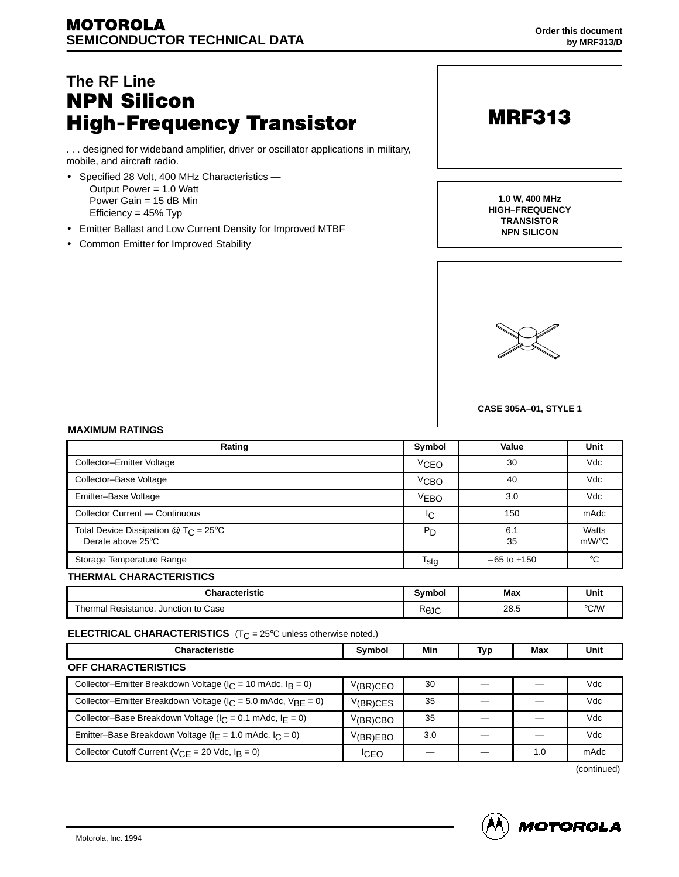# **The RF Line NPN Silicon High-Frequency Transistor**

. . . designed for wideband amplifier, driver or oscillator applications in military, mobile, and aircraft radio.

- Specified 28 Volt, 400 MHz Characteristics Output Power = 1.0 Watt Power Gain = 15 dB Min Efficiency = 45% Typ
- Emitter Ballast and Low Current Density for Improved MTBF
- Common Emitter for Improved Stability



**1.0 W, 400 MHz HIGH–FREQUENCY TRANSISTOR NPN SILICON**



**CASE 305A–01, STYLE 1**

#### **MAXIMUM RATINGS**

| Rating                                                                                | Symbol           | Value           | Unit              |
|---------------------------------------------------------------------------------------|------------------|-----------------|-------------------|
| Collector-Emitter Voltage                                                             | <b>VCEO</b>      | 30              | Vdc               |
| Collector-Base Voltage                                                                | $V$ CBO          | 40              | Vdc               |
| Emitter-Base Voltage                                                                  | <b>VEBO</b>      | 3.0             | Vdc               |
| Collector Current - Continuous                                                        | IС               | 150             | mAdc              |
| Total Device Dissipation $\textcircled{2}$ T <sub>C</sub> = 25°C<br>Derate above 25°C | $P_D$            | 6.1<br>35       | Watts<br>$mW$ /°C |
| Storage Temperature Range                                                             | $T_{\text{stg}}$ | $-65$ to $+150$ | ℃                 |
| <b>THERMAL CHARACTERISTICS</b>                                                        |                  |                 |                   |

| <b>Characteristic</b>                     | <b>Symbol</b>                      | Max  | . .  |
|-------------------------------------------|------------------------------------|------|------|
| .                                         | IIIUUI                             |      | Unit |
| Junction to Case<br>Resistance.<br>hermal | $\overline{\phantom{a}}$<br>' ∖⊎JU | 28.5 | 200h |

#### **ELECTRICAL CHARACTERISTICS** (T<sub>C</sub> = 25°C unless otherwise noted.)

| <b>Characteristic</b>                                                    | Symbol      | Min | Typ | Max | Unit |
|--------------------------------------------------------------------------|-------------|-----|-----|-----|------|
| OFF CHARACTERISTICS                                                      |             |     |     |     |      |
| Collector-Emitter Breakdown Voltage ( $ c $ = 10 mAdc, $ c $ = 0)        | V(BR)CEO    | 30  |     |     | Vdc. |
| Collector-Emitter Breakdown Voltage ( $I_C$ = 5.0 mAdc, $V_{RF}$ = 0)    | V(BR)CES    | 35  |     |     | Vdc. |
| Collector-Base Breakdown Voltage ( $ c $ = 0.1 mAdc, $ c $ = 0)          | $V(BR)$ CBO | 35  |     |     | Vdc  |
| Emitter-Base Breakdown Voltage ( $I_F = 1.0$ mAdc, $I_C = 0$ )           | V(BR)EBO    | 3.0 |     |     | Vdc  |
| Collector Cutoff Current ( $V_{\text{CF}}$ = 20 Vdc, $I_{\text{R}}$ = 0) | <b>ICEO</b> |     |     | 1.0 | mAdc |

(continued)

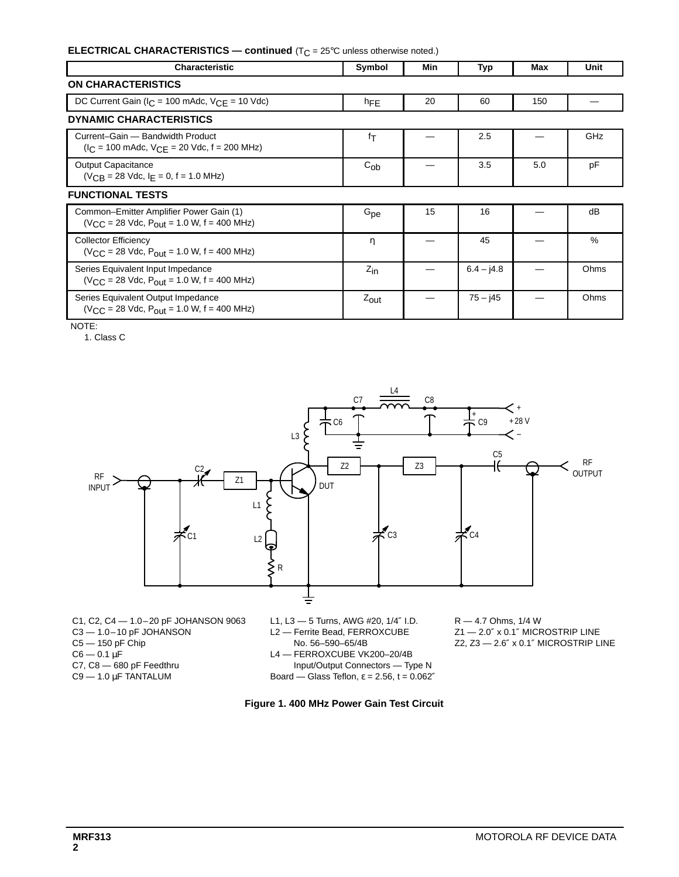### **ELECTRICAL CHARACTERISTICS — continued** (T<sub>C</sub> = 25°C unless otherwise noted.)

| Characteristic                                                                                    | Symbol           | Min | Typ          | Max | Unit       |  |
|---------------------------------------------------------------------------------------------------|------------------|-----|--------------|-----|------------|--|
| <b>ON CHARACTERISTICS</b>                                                                         |                  |     |              |     |            |  |
| DC Current Gain ( $I_C$ = 100 mAdc, $V_{CF}$ = 10 Vdc)                                            | hFE              | 20  | 60           | 150 |            |  |
| <b>DYNAMIC CHARACTERISTICS</b>                                                                    |                  |     |              |     |            |  |
| Current-Gain - Bandwidth Product<br>$I_C$ = 100 mAdc, $V_{C}$ = 20 Vdc, f = 200 MHz)              | fτ               |     | 2.5          |     | <b>GHz</b> |  |
| <b>Output Capacitance</b><br>$(V_{CR} = 28$ Vdc, $I_F = 0$ , f = 1.0 MHz)                         | $C_{ob}$         |     | 3.5          | 5.0 | pF         |  |
| <b>FUNCTIONAL TESTS</b>                                                                           |                  |     |              |     |            |  |
| Common-Emitter Amplifier Power Gain (1)<br>$(V_{C,C} = 28$ Vdc, $P_{OUf} = 1.0$ W, $f = 400$ MHz) | $G_{\rm pe}$     | 15  | 16           |     | dB         |  |
| <b>Collector Efficiency</b><br>$(V_{C,C} = 28$ Vdc, $P_{OUf} = 1.0$ W, $f = 400$ MHz)             | η                |     | 45           |     | $\%$       |  |
| Series Equivalent Input Impedance<br>$(V_{C,C} = 28$ Vdc, $P_{OUf} = 1.0$ W, $f = 400$ MHz)       | $Z_{\text{in}}$  |     | $6.4 - j4.8$ |     | Ohms       |  |
| Series Equivalent Output Impedance<br>$(V_{\rm CC} = 28$ Vdc, $P_{\rm out} = 1.0$ W, f = 400 MHz) | $Z_{\text{out}}$ |     | $75 - j45$   |     | Ohms       |  |

NOTE:

1. Class C



- C1, C2, C4 1.0–20 pF JOHANSON 9063 C3 — 1.0–10 pF JOHANSON C5 — 150 pF Chip  $C6 - 0.1 \,\mu F$ C7, C8 — 680 pF Feedthru  $C9 - 1.0 \mu F$  TANTALUM
- L1, L3 5 Turns, AWG #20, 1/4″ I.D. L2 — Ferrite Bead, FERROXCUBE
- No. 56-590-65/4B
- L4 FERROXCUBE VK200–20/4B
- Input/Output Connectors Type N
- Board Glass Teflon,  $\varepsilon = 2.56$ ,  $t = 0.062$ "

R — 4.7 Ohms, 1/4 W Z1 — 2.0″ x 0.1″ MICROSTRIP LINE Z2, Z3 — 2.6″ x 0.1″ MICROSTRIP LINE

**Figure 1. 400 MHz Power Gain Test Circuit**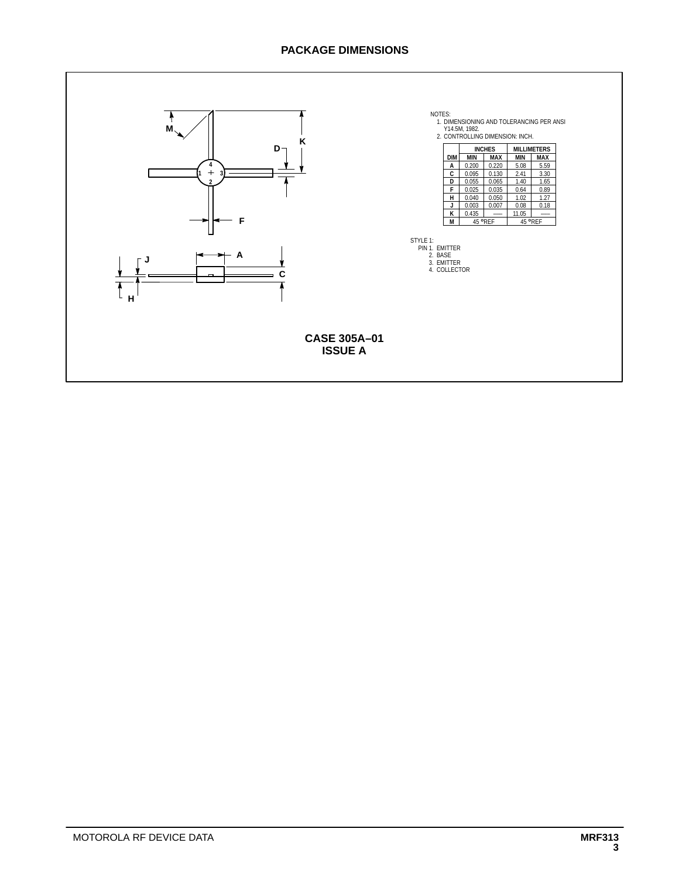## **PACKAGE DIMENSIONS**